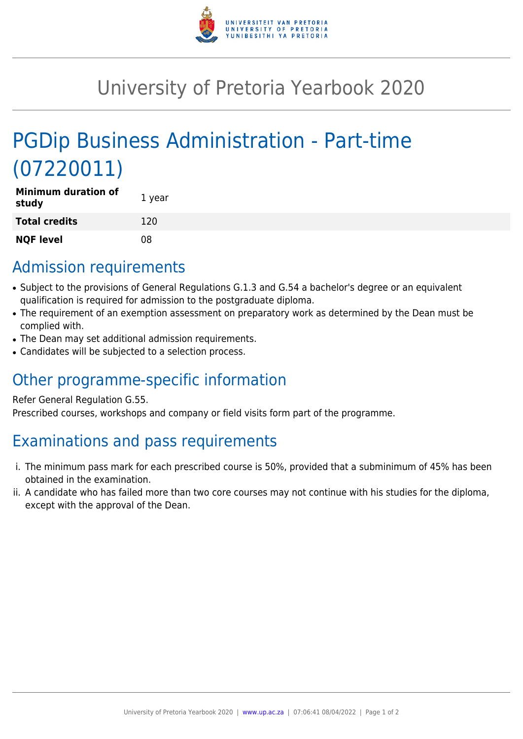

## University of Pretoria Yearbook 2020

# PGDip Business Administration - Part-time (07220011)

| <b>Minimum duration of</b><br>study | 1 year |
|-------------------------------------|--------|
| <b>Total credits</b>                | 120    |
| <b>NQF level</b>                    | 08     |

### Admission requirements

- Subject to the provisions of General Regulations G.1.3 and G.54 a bachelor's degree or an equivalent qualification is required for admission to the postgraduate diploma.
- The requirement of an exemption assessment on preparatory work as determined by the Dean must be complied with.
- The Dean may set additional admission requirements.
- Candidates will be subjected to a selection process.

### Other programme-specific information

#### Refer General Regulation G.55.

Prescribed courses, workshops and company or field visits form part of the programme.

## Examinations and pass requirements

- i. The minimum pass mark for each prescribed course is 50%, provided that a subminimum of 45% has been obtained in the examination.
- ii. A candidate who has failed more than two core courses may not continue with his studies for the diploma, except with the approval of the Dean.